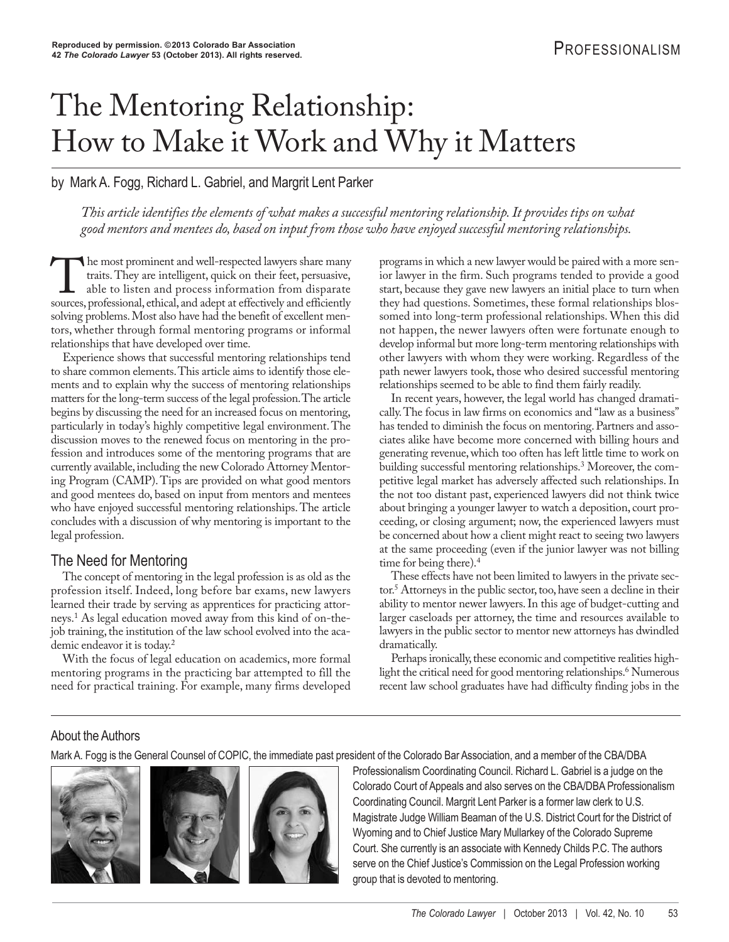# The Mentoring Relationship: How to Make it Work and Why it Matters

by Mark A. Fogg, Richard L. Gabriel, and Margrit Lent Parker

*This article identifies the elements of what makes a successful mentoring relationship. It provides tips on what good mentors and mentees do, based on input from those who have enjoyed successful mentoring relationships.*

The most prominent and well-respected lawyers share many<br>traits. They are intelligent, quick on their feet, persuasive,<br>able to listen and process information from disparate<br>sources. professional. ethical. and adent at eff traits. They are intelligent, quick on their feet, persuasive, able to listen and process information from disparate sources, professional, ethical, and adept at effectively and efficiently solving problems. Most also have had the benefit of excellent mentors, whether through formal mentoring programs or informal relationships that have developed over time.

Experience shows that successful mentoring relationships tend to share common elements. This article aims to identify those elements and to explain why the success of mentoring relationships matters for the long-term success of the legal profession. The article begins by discussing the need for an increased focus on mentoring, particularly in today's highly competitive legal environment. The discussion moves to the renewed focus on mentoring in the profession and introduces some of the mentoring programs that are currently available, including the new Colorado Attorney Mentoring Program (CAMP). Tips are provided on what good mentors and good mentees do, based on input from mentors and mentees who have enjoyed successful mentoring relationships. The article concludes with a discussion of why mentoring is important to the legal profession.

#### The Need for Mentoring

The concept of mentoring in the legal profession is as old as the profession itself. Indeed, long before bar exams, new lawyers learned their trade by serving as apprentices for practicing attorneys.1 As legal education moved away from this kind of on-thejob training, the institution of the law school evolved into the academic endeavor it is today.2

With the focus of legal education on academics, more formal mentoring programs in the practicing bar attempted to fill the need for practical training. For example, many firms developed

programs in which a new lawyer would be paired with a more senior lawyer in the firm. Such programs tended to provide a good start, because they gave new lawyers an initial place to turn when they had questions. Sometimes, these formal relationships blossomed into long-term professional relationships. When this did not happen, the newer lawyers often were fortunate enough to develop informal but more long-term mentoring relationships with other lawyers with whom they were working. Regardless of the path newer lawyers took, those who desired successful mentoring relationships seemed to be able to find them fairly readily.

In recent years, however, the legal world has changed dramatically. The focus in law firms on economics and "law as a business" has tended to diminish the focus on mentoring. Partners and associates alike have become more concerned with billing hours and generating revenue, which too often has left little time to work on building successful mentoring relationships.3 Moreover, the competitive legal market has adversely affected such relationships. In the not too distant past, experienced lawyers did not think twice about bringing a younger lawyer to watch a deposition, court proceeding, or closing argument; now, the experienced lawyers must be concerned about how a client might react to seeing two lawyers at the same proceeding (even if the junior lawyer was not billing time for being there).4

These effects have not been limited to lawyers in the private sector.5 Attorneys in the public sector, too, have seen a decline in their ability to mentor newer lawyers. In this age of budget-cutting and larger caseloads per attorney, the time and resources available to lawyers in the public sector to mentor new attorneys has dwindled dramatically.

Perhaps ironically, these economic and competitive realities highlight the critical need for good mentoring relationships.<sup>6</sup> Numerous recent law school graduates have had difficulty finding jobs in the

#### About the Authors

Mark A. Fogg is the General Counsel of COPIC, the immediate past president of the Colorado Bar Association, and a member of the CBA/DBA





 Professionalism Coordinating Council. Richard L. Gabriel is a judge on the Colorado Court of Appeals and also serves on the CBA/DBA Professionalism Coordinating Council. Margrit Lent Parker is a former law clerk to U.S. Magistrate Judge William Beaman of the U.S. District Court for the District of Wyoming and to Chief Justice Mary Mullarkey of the Colorado Supreme Court. She currently is an associate with Kennedy Childs P.C. The authors serve on the Chief Justice's Commission on the Legal Profession working group that is devoted to mentoring.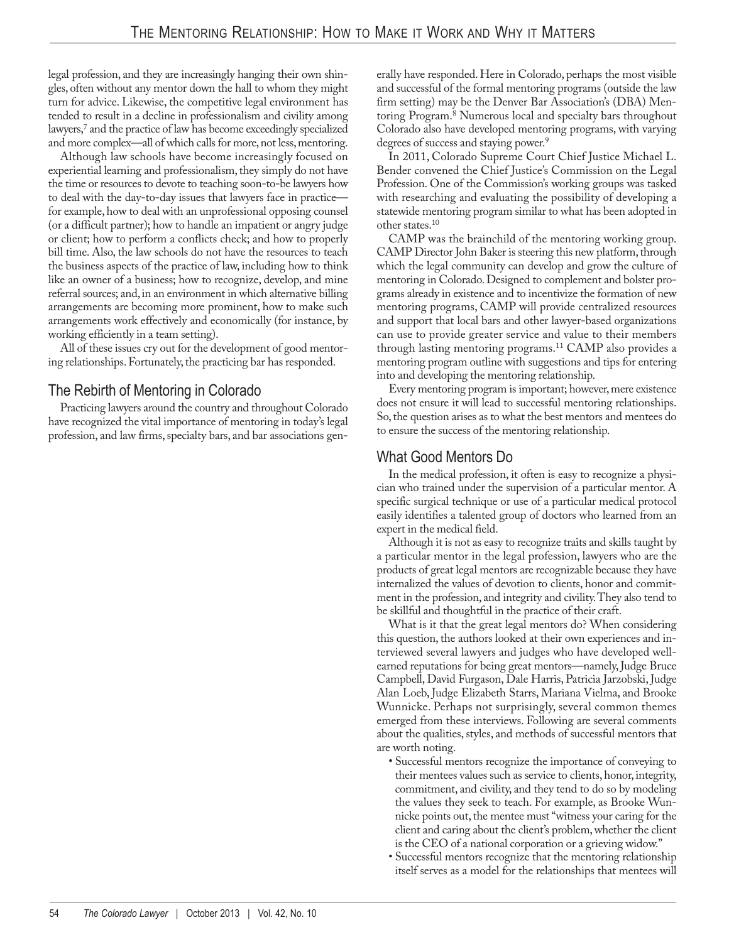legal profession, and they are increasingly hanging their own shingles, often without any mentor down the hall to whom they might turn for advice. Likewise, the competitive legal environment has tended to result in a decline in professionalism and civility among lawyers,<sup>7</sup> and the practice of law has become exceedingly specialized and more complex—all of which calls for more, not less, mentoring.

Although law schools have become increasingly focused on experiential learning and professionalism, they simply do not have the time or resources to devote to teaching soon-to-be lawyers how to deal with the day-to-day issues that lawyers face in practice for example, how to deal with an unprofessional opposing counsel (or a difficult partner); how to handle an impatient or angry judge or client; how to perform a conflicts check; and how to properly bill time. Also, the law schools do not have the resources to teach the business aspects of the practice of law, including how to think like an owner of a business; how to recognize, develop, and mine referral sources; and, in an environment in which alternative billing arrangements are becoming more prominent, how to make such arrangements work effectively and economically (for instance, by working efficiently in a team setting).

All of these issues cry out for the development of good mentoring relationships. Fortunately, the practicing bar has responded.

#### The Rebirth of Mentoring in Colorado

Practicing lawyers around the country and throughout Colorado have recognized the vital importance of mentoring in today's legal profession, and law firms, specialty bars, and bar associations generally have responded. Here in Colorado, perhaps the most visible and successful of the formal mentoring programs (outside the law firm setting) may be the Denver Bar Association's (DBA) Mentoring Program.8 Numerous local and specialty bars throughout Colorado also have developed mentoring programs, with varying degrees of success and staying power.<sup>9</sup>

In 2011, Colorado Supreme Court Chief Justice Michael L. Bender convened the Chief Justice's Commission on the Legal Profession. One of the Commission's working groups was tasked with researching and evaluating the possibility of developing a statewide mentoring program similar to what has been adopted in other states.10

CAMP was the brainchild of the mentoring working group. CAMP Director John Baker is steering this new platform, through which the legal community can develop and grow the culture of mentoring in Colorado. Designed to complement and bolster programs already in existence and to incentivize the formation of new mentoring programs, CAMP will provide centralized resources and support that local bars and other lawyer-based organizations can use to provide greater service and value to their members through lasting mentoring programs.11 CAMP also provides a mentoring program outline with suggestions and tips for entering into and developing the mentoring relationship.

Every mentoring program is important; however, mere existence does not ensure it will lead to successful mentoring relationships. So, the question arises as to what the best mentors and mentees do to ensure the success of the mentoring relationship.

## What Good Mentors Do

In the medical profession, it often is easy to recognize a physician who trained under the supervision of a particular mentor. A specific surgical technique or use of a particular medical protocol easily identifies a talented group of doctors who learned from an expert in the medical field.

Although it is not as easy to recognize traits and skills taught by a particular mentor in the legal profession, lawyers who are the products of great legal mentors are recognizable because they have internalized the values of devotion to clients, honor and commitment in the profession, and integrity and civility. They also tend to be skillful and thoughtful in the practice of their craft.

What is it that the great legal mentors do? When considering this question, the authors looked at their own experiences and in terviewed several lawyers and judges who have developed wellearned reputations for being great mentors—namely, Judge Bruce Campbell, David Furgason, Dale Harris, Patricia Jarzobski, Judge Alan Loeb, Judge Elizabeth Starrs, Mariana Vielma, and Brooke Wunnicke. Perhaps not surprisingly, several common themes emerged from these interviews. Following are several comments about the qualities, styles, and methods of successful mentors that are worth noting.

- Successful mentors recognize the importance of conveying to their mentees values such as service to clients, honor, integrity, commitment, and civility, and they tend to do so by modeling the values they seek to teach. For example, as Brooke Wunnicke points out, the mentee must "witness your caring for the client and caring about the client's problem, whether the client is the CEO of a national corporation or a grieving widow."
- Successful mentors recognize that the mentoring relationship itself serves as a model for the relationships that mentees will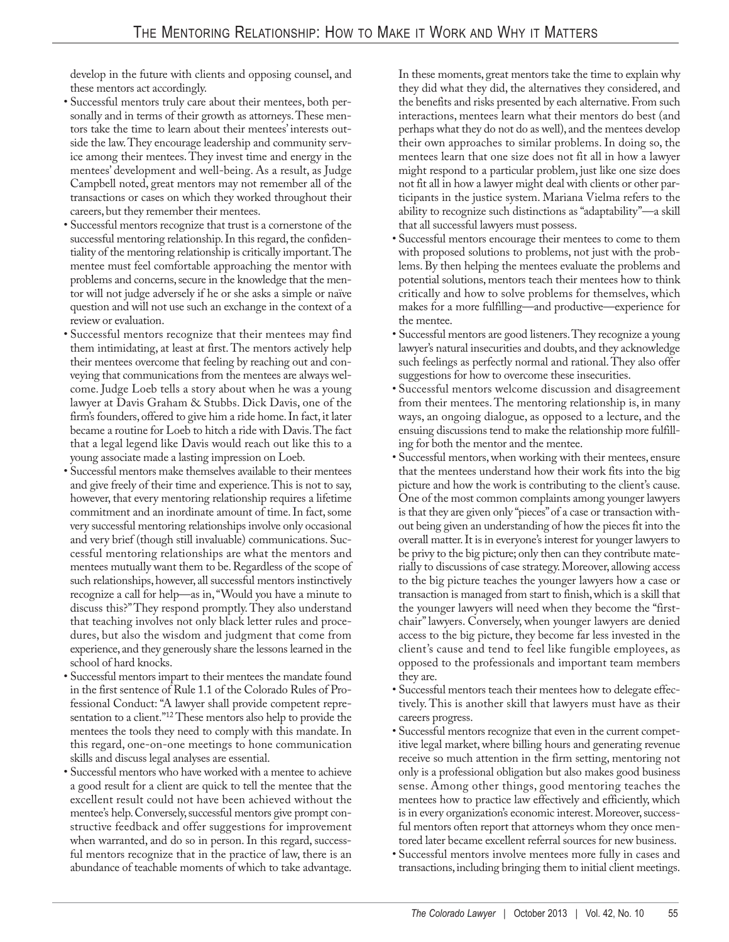develop in the future with clients and opposing counsel, and these mentors act accordingly.

- Successful mentors truly care about their mentees, both personally and in terms of their growth as attorneys. These mentors take the time to learn about their mentees' interests outside the law. They encourage leadership and community service among their mentees. They invest time and energy in the mentees' development and well-being. As a result, as Judge Campbell noted, great mentors may not remember all of the transactions or cases on which they worked throughout their careers, but they remember their mentees.
- Successful mentors recognize that trust is a cornerstone of the successful mentoring relationship. In this regard, the confidentiality of the mentoring relationship is critically important. The mentee must feel comfortable approaching the mentor with problems and concerns, secure in the knowledge that the mentor will not judge adversely if he or she asks a simple or naïve question and will not use such an exchange in the context of a review or evaluation.
- Successful mentors recognize that their mentees may find them intimidating, at least at first. The mentors actively help their mentees overcome that feeling by reaching out and conveying that communications from the mentees are always welcome. Judge Loeb tells a story about when he was a young lawyer at Davis Graham & Stubbs. Dick Davis, one of the firm's founders, offered to give him a ride home. In fact, it later became a routine for Loeb to hitch a ride with Davis. The fact that a legal legend like Davis would reach out like this to a young associate made a lasting impression on Loeb.
- Successful mentors make themselves available to their mentees and give freely of their time and experience. This is not to say, however, that every mentoring relationship requires a lifetime commitment and an inordinate amount of time. In fact, some very successful mentoring relationships involve only occasional and very brief (though still invaluable) communications. Successful mentoring relationships are what the mentors and mentees mutually want them to be. Regardless of the scope of such relationships, however, all successful mentors instinctively recognize a call for help—as in, "Would you have a minute to discuss this?" They respond promptly. They also understand that teaching involves not only black letter rules and procedures, but also the wisdom and judgment that come from experience, and they generously share the lessons learned in the school of hard knocks.
- Successful mentors impart to their mentees the mandate found in the first sentence of Rule 1.1 of the Colorado Rules of Professional Conduct: "A lawyer shall provide competent representation to a client."12 These mentors also help to provide the mentees the tools they need to comply with this mandate. In this regard, one-on-one meetings to hone communication skills and discuss legal analyses are essential.
- Successful mentors who have worked with a mentee to achieve a good result for a client are quick to tell the mentee that the excellent result could not have been achieved without the mentee's help. Conversely, successful mentors give prompt constructive feedback and offer suggestions for improvement when warranted, and do so in person. In this regard, successful mentors recognize that in the practice of law, there is an abundance of teachable moments of which to take advantage.

In these moments, great mentors take the time to explain why they did what they did, the alternatives they considered, and the benefits and risks presented by each alternative. From such interactions, mentees learn what their mentors do best (and perhaps what they do not do as well), and the mentees develop their own approaches to similar problems. In doing so, the mentees learn that one size does not fit all in how a lawyer might respond to a particular problem, just like one size does not fit all in how a lawyer might deal with clients or other participants in the justice system. Mariana Vielma refers to the ability to recognize such distinctions as "adaptability"—a skill that all successful lawyers must possess.

- Successful mentors encourage their mentees to come to them with proposed solutions to problems, not just with the problems. By then helping the mentees evaluate the problems and potential solutions, mentors teach their mentees how to think critically and how to solve problems for themselves, which makes for a more fulfilling—and productive—experience for the mentee.
- Successful mentors are good listeners. They recognize a young lawyer's natural insecurities and doubts, and they acknowledge such feelings as perfectly normal and rational. They also offer suggestions for how to overcome these insecurities.
- Successful mentors welcome discussion and disagreement from their mentees. The mentoring relationship is, in many ways, an ongoing dialogue, as opposed to a lecture, and the ensuing discussions tend to make the relationship more fulfilling for both the mentor and the mentee.
- Successful mentors, when working with their mentees, ensure that the mentees understand how their work fits into the big picture and how the work is contributing to the client's cause. One of the most common complaints among younger lawyers is that they are given only "pieces" of a case or transaction without being given an understanding of how the pieces fit into the overall matter. It is in everyone's interest for younger lawyers to be privy to the big picture; only then can they contribute materially to discussions of case strategy. Moreover, allowing access to the big picture teaches the younger lawyers how a case or transaction is managed from start to finish, which is a skill that the younger lawyers will need when they become the "firstchair" lawyers. Conversely, when younger lawyers are denied access to the big picture, they become far less invested in the client's cause and tend to feel like fungible employees, as opposed to the professionals and important team members they are.
- Successful mentors teach their mentees how to delegate effectively. This is another skill that lawyers must have as their careers progress.
- Successful mentors recognize that even in the current competitive legal market, where billing hours and generating revenue receive so much attention in the firm setting, mentoring not only is a professional obligation but also makes good business sense. Among other things, good mentoring teaches the mentees how to practice law effectively and efficiently, which is in every organization's economic interest. Moreover, successful mentors often report that attorneys whom they once mentored later became excellent referral sources for new business.
- Successful mentors involve mentees more fully in cases and transactions, including bringing them to initial client meetings.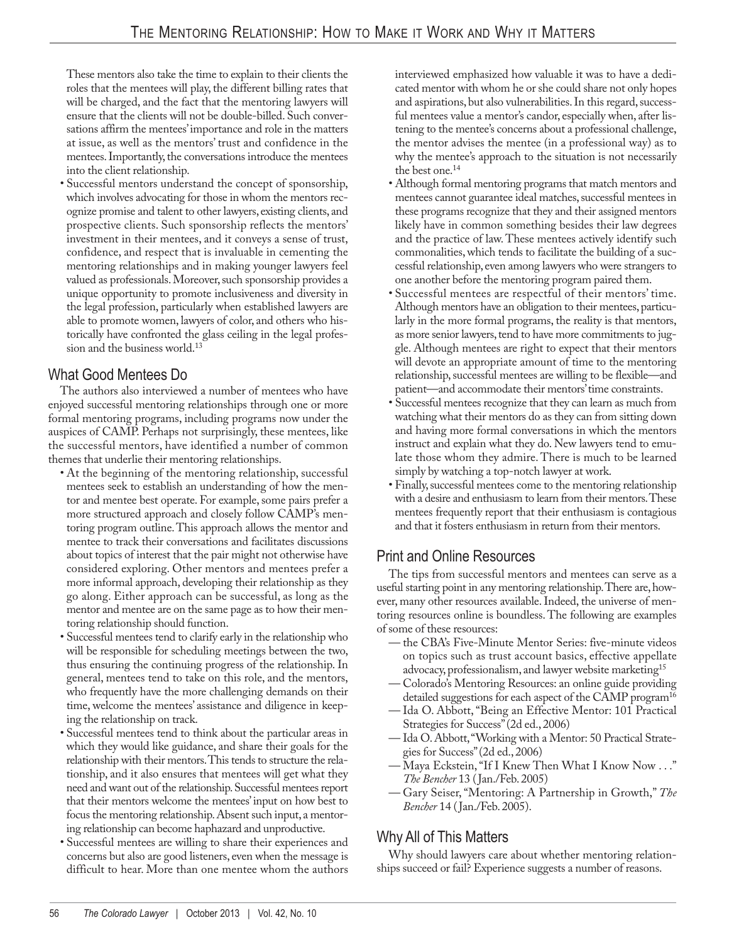These mentors also take the time to explain to their clients the roles that the mentees will play, the different billing rates that will be charged, and the fact that the mentoring lawyers will ensure that the clients will not be double-billed. Such conversations affirm the mentees' importance and role in the matters at issue, as well as the mentors' trust and confidence in the mentees. Importantly, the conversations introduce the mentees into the client relationship.

• Successful mentors understand the concept of sponsorship, which involves advocating for those in whom the mentors recognize promise and talent to other lawyers, existing clients, and prospective clients. Such sponsorship reflects the mentors' investment in their mentees, and it conveys a sense of trust, confidence, and respect that is invaluable in cementing the mentoring relationships and in making younger lawyers feel valued as professionals. Moreover, such sponsorship provides a unique opportunity to promote inclusiveness and diversity in the legal profession, particularly when established lawyers are able to promote women, lawyers of color, and others who historically have confronted the glass ceiling in the legal profession and the business world.13

## What Good Mentees Do

The authors also interviewed a number of mentees who have enjoyed successful mentoring relationships through one or more formal mentoring programs, including programs now under the auspices of CAMP. Perhaps not surprisingly, these mentees, like the successful mentors, have identified a number of common themes that underlie their mentoring relationships.

- At the beginning of the mentoring relationship, successful mentees seek to establish an understanding of how the mentor and mentee best operate. For example, some pairs prefer a more structured approach and closely follow CAMP's mentoring program outline. This approach allows the mentor and mentee to track their conversations and facilitates discussions about topics of interest that the pair might not otherwise have considered exploring. Other mentors and mentees prefer a more informal approach, developing their relationship as they go along. Either approach can be successful, as long as the mentor and mentee are on the same page as to how their mentoring relationship should function.
- Successful mentees tend to clarify early in the relationship who will be responsible for scheduling meetings between the two, thus ensuring the continuing progress of the relationship. In general, mentees tend to take on this role, and the mentors, who frequently have the more challenging demands on their time, welcome the mentees' assistance and diligence in keeping the relationship on track.
- Successful mentees tend to think about the particular areas in which they would like guidance, and share their goals for the relationship with their mentors. This tends to structure the relationship, and it also ensures that mentees will get what they need and want out of the relationship. Successful mentees report that their mentors welcome the mentees' input on how best to focus the mentoring relationship. Absent such input, a mentoring relationship can become haphazard and unproductive.
- Successful mentees are willing to share their experiences and concerns but also are good listeners, even when the message is difficult to hear. More than one mentee whom the authors

interviewed emphasized how valuable it was to have a dedicated mentor with whom he or she could share not only hopes and aspirations, but also vulnerabilities. In this regard, successful mentees value a mentor's candor, especially when, after listening to the mentee's concerns about a professional challenge, the mentor advises the mentee (in a professional way) as to why the mentee's approach to the situation is not necessarily the best one.14

- Although formal mentoring programs that match mentors and mentees cannot guarantee ideal matches, successful mentees in these programs recognize that they and their assigned mentors likely have in common something besides their law degrees and the practice of law. These mentees actively identify such commonalities, which tends to facilitate the building of a successful relationship, even among lawyers who were strangers to one another before the mentoring program paired them.
- Successful mentees are respectful of their mentors' time. Although mentors have an obligation to their mentees, particularly in the more formal programs, the reality is that mentors, as more senior lawyers, tend to have more commitments to juggle. Although mentees are right to expect that their mentors will devote an appropriate amount of time to the mentoring relationship, successful mentees are willing to be flexible—and patient—and accommodate their mentors' time constraints.
- Successful mentees recognize that they can learn as much from watching what their mentors do as they can from sitting down and having more formal conversations in which the mentors instruct and explain what they do. New lawyers tend to emulate those whom they admire. There is much to be learned simply by watching a top-notch lawyer at work.
- Finally, successful mentees come to the mentoring relationship with a desire and enthusiasm to learn from their mentors. These mentees frequently report that their enthusiasm is contagious and that it fosters enthusiasm in return from their mentors.

#### Print and Online Resources

The tips from successful mentors and mentees can serve as a useful starting point in any mentoring relationship. There are, however, many other resources available. Indeed, the universe of mentoring resources online is boundless. The following are examples of some of these resources:

- the CBA's Five-Minute Mentor Series: five-minute videos on topics such as trust account basics, effective appellate advocacy, professionalism, and lawyer website marketing15
- Colorado's Mentoring Resources: an online guide providing detailed suggestions for each aspect of the CAMP program<sup>16</sup>
- Ida O. Abbott, "Being an Effective Mentor: 101 Practical Strategies for Success" (2d ed., 2006)
- Ida O. Abbott, "Working with a Mentor: 50 Practical Strategies for Success" (2d ed., 2006)
- Maya Eckstein, "If I Knew Then What I Know Now . . ." *The Bencher* 13 (Jan./Feb. 2005)
- Gary Seiser, "Mentoring: A Partnership in Growth," *The Bencher* 14 (Jan./Feb. 2005).

# Why All of This Matters

Why should lawyers care about whether mentoring relationships succeed or fail? Experience suggests a number of reasons.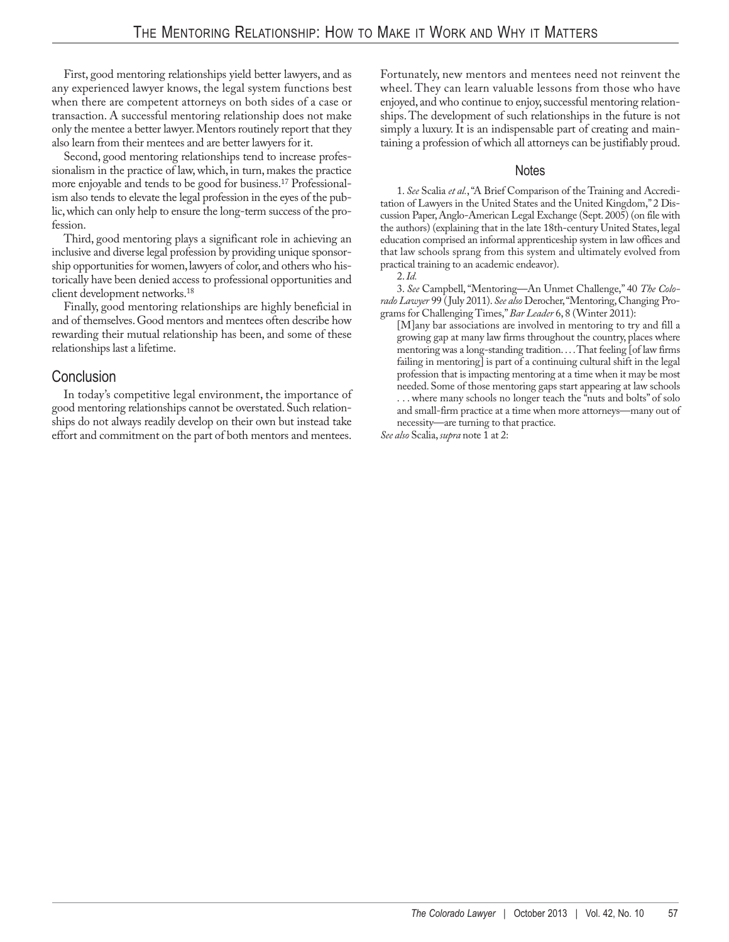First, good mentoring relationships yield better lawyers, and as any experienced lawyer knows, the legal system functions best when there are competent attorneys on both sides of a case or transaction. A successful mentoring relationship does not make only the mentee a better lawyer. Mentors routinely report that they also learn from their mentees and are better lawyers for it.

Second, good mentoring relationships tend to increase professionalism in the practice of law, which, in turn, makes the practice more enjoyable and tends to be good for business.17 Professionalism also tends to elevate the legal profession in the eyes of the public, which can only help to ensure the long-term success of the profession.

Third, good mentoring plays a significant role in achieving an inclusive and diverse legal profession by providing unique sponsorship opportunities for women, lawyers of color, and others who historically have been denied access to professional opportunities and client development networks.18

Finally, good mentoring relationships are highly beneficial in and of themselves. Good mentors and mentees often describe how rewarding their mutual relationship has been, and some of these relationships last a lifetime.

#### Conclusion

In today's competitive legal environment, the importance of good mentoring relationships cannot be overstated. Such relationships do not always readily develop on their own but instead take effort and commitment on the part of both mentors and mentees.

Fortunately, new mentors and mentees need not reinvent the wheel. They can learn valuable lessons from those who have enjoyed, and who continue to enjoy, successful mentoring relationships. The development of such relationships in the future is not simply a luxury. It is an indispensable part of creating and maintaining a profession of which all attorneys can be justifiably proud.

#### Notes

1. *See* Scalia *et al.*, "A Brief Comparison of the Training and Accreditation of Lawyers in the United States and the United Kingdom," 2 Discussion Paper, Anglo-American Legal Exchange (Sept. 2005) (on file with the authors) (explaining that in the late 18th-century United States, legal education comprised an informal apprenticeship system in law offices and that law schools sprang from this system and ultimately evolved from practical training to an academic endeavor).

3. *See* Campbell, "Mentoring—An Unmet Challenge," 40 *The Colorado Lawyer* 99 (July 2011). *See also* Derocher, "Mentoring, Changing Programs for Challenging Times," *Bar Leader* 6, 8 (Winter 2011):

[M]any bar associations are involved in mentoring to try and fill a growing gap at many law firms throughout the country, places where mentoring was a long-standing tradition. . . . That feeling [of law firms failing in mentoring] is part of a continuing cultural shift in the legal profession that is impacting mentoring at a time when it may be most needed. Some of those mentoring gaps start appearing at law schools ... where many schools no longer teach the "nuts and bolts" of solo and small-firm practice at a time when more attorneys—many out of necessity—are turning to that practice.

*See also* Scalia, *supra* note 1 at 2:

<sup>2.</sup> *Id.*